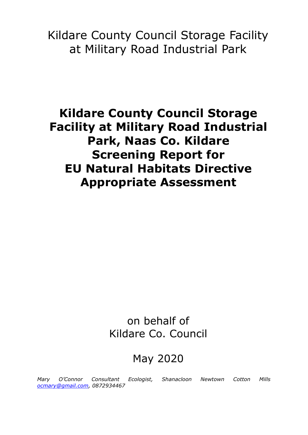Kildare County Council Storage Facility at Military Road Industrial Park

**Kildare County Council Storage Facility at Military Road Industrial Park, Naas Co. Kildare Screening Report for EU Natural Habitats Directive Appropriate Assessment**

> on behalf of Kildare Co. Council

# May 2020

*Mary O'Connor Consultant Ecologist, Shanacloon Newtown Cotton Mills [ocmary@gmail.com,](mailto:ocmary@gmail.com) 0872934467*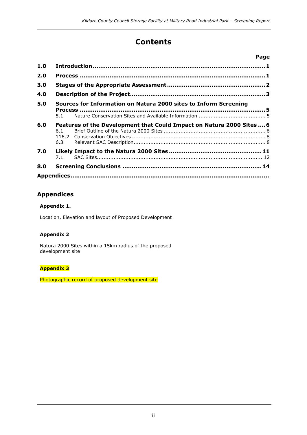# **Contents**

|     |                                                                              | Page |  |  |  |
|-----|------------------------------------------------------------------------------|------|--|--|--|
| 1.0 |                                                                              |      |  |  |  |
| 2.0 |                                                                              |      |  |  |  |
| 3.0 |                                                                              |      |  |  |  |
| 4.0 |                                                                              |      |  |  |  |
| 5.0 | Sources for Information on Natura 2000 sites to Inform Screening             |      |  |  |  |
|     | 5.1                                                                          |      |  |  |  |
| 6.0 | Features of the Development that Could Impact on Natura 2000 Sites  6<br>6.1 |      |  |  |  |
|     | 6.3                                                                          |      |  |  |  |
| 7.0 | 7.1                                                                          |      |  |  |  |
| 8.0 |                                                                              |      |  |  |  |
|     |                                                                              |      |  |  |  |

### **Appendices**

### **Appendix 1.**

Location, Elevation and layout of Proposed Development

### **Appendix 2**

Natura 2000 Sites within a 15km radius of the proposed development site

### **Appendix 3**

Photographic record of proposed development site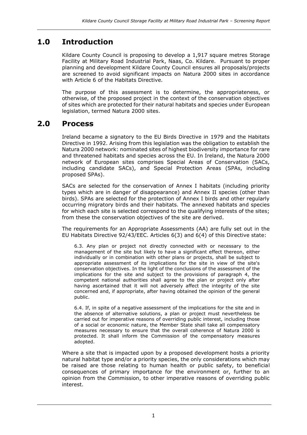# **1.0 Introduction**

Kildare County Council is proposing to develop a 1,917 square metres Storage Facility at Military Road Industrial Park, Naas, Co. Kildare. Pursuant to proper planning and development Kildare County Council ensures all proposals/projects are screened to avoid significant impacts on Natura 2000 sites in accordance with Article 6 of the Habitats Directive.

The purpose of this assessment is to determine, the appropriateness, or otherwise, of the proposed project in the context of the conservation objectives of sites which are protected for their natural habitats and species under European legislation, termed Natura 2000 sites.

### **2.0 Process**

Ireland became a signatory to the EU Birds Directive in 1979 and the Habitats Directive in 1992. Arising from this legislation was the obligation to establish the Natura 2000 network: nominated sites of highest biodiversity importance for rare and threatened habitats and species across the EU. In Ireland, the Natura 2000 network of European sites comprises Special Areas of Conservation (SACs, including candidate SACs), and Special Protection Areas (SPAs, including proposed SPAs).

SACs are selected for the conservation of Annex I habitats (including priority types which are in danger of disappearance) and Annex II species (other than birds). SPAs are selected for the protection of Annex I birds and other regularly occurring migratory birds and their habitats. The annexed habitats and species for which each site is selected correspond to the qualifying interests of the sites; from these the conservation objectives of the site are derived.

The requirements for an Appropriate Assessments (AA) are fully set out in the EU Habitats Directive 92/43/EEC. Articles 6(3) and 6(4) of this Directive state:

6.3. Any plan or project not directly connected with or necessary to the management of the site but likely to have a significant effect thereon, either individually or in combination with other plans or projects, shall be subject to appropriate assessment of its implications for the site in view of the site's conservation objectives. In the light of the conclusions of the assessment of the implications for the site and subject to the provisions of paragraph 4, the competent national authorities shall agree to the plan or project only after having ascertained that it will not adversely affect the integrity of the site concerned and, if appropriate, after having obtained the opinion of the general public.

6.4. If, in spite of a negative assessment of the implications for the site and in the absence of alternative solutions, a plan or project must nevertheless be carried out for imperative reasons of overriding public interest, including those of a social or economic nature, the Member State shall take all compensatory measures necessary to ensure that the overall coherence of Natura 2000 is protected. It shall inform the Commission of the compensatory measures adopted.

Where a site that is impacted upon by a proposed development hosts a priority natural habitat type and/or a priority species, the only considerations which may be raised are those relating to human health or public safety, to beneficial consequences of primary importance for the environment or, further to an opinion from the Commission, to other imperative reasons of overriding public interest.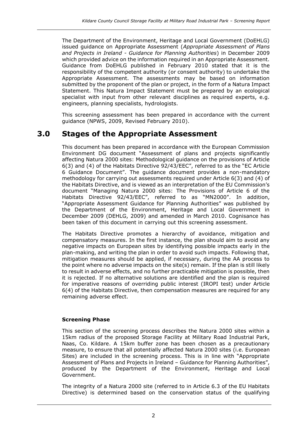The Department of the Environment, Heritage and Local Government (DoEHLG) issued guidance on Appropriate Assessment (*Appropriate Assessment of Plans and Projects in Ireland - Guidance for Planning Authorities*) in December 2009 which provided advice on the information required in an Appropriate Assessment. Guidance from DoEHLG published in February 2010 stated that it is the responsibility of the competent authority (or consent authority) to undertake the Appropriate Assessment. The assessments may be based on information submitted by the proponent of the plan or project, in the form of a Natura Impact Statement. This Natura Impact Statement must be prepared by an ecological specialist with input from other relevant disciplines as required experts, e.g. engineers, planning specialists, hydrologists.

This screening assessment has been prepared in accordance with the current guidance (NPWS, 2009, Revised February 2010).

# **3.0 Stages of the Appropriate Assessment**

This document has been prepared in accordance with the European Commission Environment DG document "Assessment of plans and projects significantly affecting Natura 2000 sites: Methodological guidance on the provisions of Article 6(3) and (4) of the Habitats Directive 92/43/EEC", referred to as the "EC Article 6 Guidance Document". The guidance document provides a non-mandatory methodology for carrying out assessments required under Article 6(3) and (4) of the Habitats Directive, and is viewed as an interpretation of the EU Commission's document "Managing Natura 2000 sites: The Provisions of Article 6 of the Habitats Directive 92/43/EEC", referred to as "MN2000". In addition, "Appropriate Assessment Guidance for Planning Authorities" was published by the Department of the Environment, Heritage and Local Government in December 2009 (DEHLG, 2009) and amended in March 2010. Cognisance has been taken of this document in carrying out this screening assessment.

The Habitats Directive promotes a hierarchy of avoidance, mitigation and compensatory measures. In the first instance, the plan should aim to avoid any negative impacts on European sites by identifying possible impacts early in the plan-making, and writing the plan in order to avoid such impacts. Following that, mitigation measures should be applied, if necessary, during the AA process to the point where no adverse impacts on the site(s) remain. If the plan is still likely to result in adverse effects, and no further practicable mitigation is possible, then it is rejected. If no alternative solutions are identified and the plan is required for imperative reasons of overriding public interest (IROPI test) under Article 6(4) of the Habitats Directive, then compensation measures are required for any remaining adverse effect.

### **Screening Phase**

This section of the screening process describes the Natura 2000 sites within a 15km radius of the proposed Storage Facility at Military Road Industrial Park, Naas, Co. Kildare. A 15km buffer zone has been chosen as a precautionary measure, to ensure that all potentially affected Natura 2000 sites (i.e. European Sites) are included in the screening process. This is in line with "Appropriate Assessment of Plans and Projects in Ireland – Guidance for Planning Authorities", produced by the Department of the Environment, Heritage and Local Government.

The integrity of a Natura 2000 site (referred to in Article 6.3 of the EU Habitats Directive) is determined based on the conservation status of the qualifying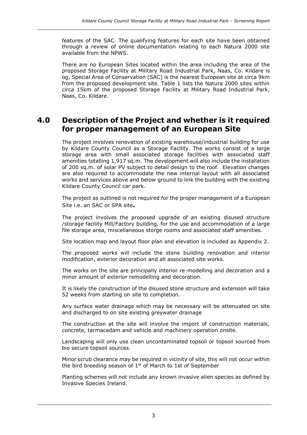features of the SAC. The qualifying features for each site have been obtained through a review of online documentation relating to each Natura 2000 site available from the NPWS.

There are no European Sites located within the area including the area of the proposed Storage Facility at Military Road Industrial Park, Naas, Co. Kildare is og, Special Area of Conservation (SAC) is the nearest European site at circa 9km from the proposed development site. Table 1 lists the Natura 2000 sites within *circa* 15km of the proposed Storage Facility at Military Road Industrial Park, Naas, Co. Kildare.

# **4.0 Description of the Project and whether is it required for proper management of an European Site**

The project involves renovation of existing warehouse/industrial building for use by Kildare County Council as a Storage Facility. The works consist of a large storage area with small associated storage facilities with associated staff amenities totalling 1,917 sq.m. The development will also include the installation of 200 sq.m. of solar PV subject to detail design to the roof. Elevation changes are also required to accommodate the new internal layout with all associated works and services above and below ground to link the building with the existing Kildare County Council car park.

The project as outlined is not required for the proper management of a European Site i.e. an SAC or SPA site**.**

The project involves the proposed upgrade of an existing disused structure /storage facility Mill/Factory building, for the use and accommodation of a large file storage area, miscellaneous storge rooms and associated staff amenities.

Site location map and layout floor plan and elevation is included as Appendix 2.

The proposed works will include the stone building renovation and interior modification, exterior decoration and all associated site works.

The works on the site are principally interior re-modelling and decoration and a minor amount of exterior remodelling and decoration.

It is likely the construction of the disused stone structure and extension will take 52 weeks from starting on site to completion.

Any surface water drainage which may be necessary will be attenuated on site and discharged to on site existing greywater drainage

The construction at the site will involve the import of construction materials, concrete, tarmacadam and vehicle and machinery operation onsite.

Landscaping will only use clean uncontaminated topsoil or topsoil sourced from bio secure topsoil sources.

Minor scrub clearance may be required in vicinity of site, this will not occur within the bird breeding season of  $1<sup>st</sup>$  of March to 1st of September

Planting schemes will not include any known invasive alien species as defined by Invasive Species Ireland.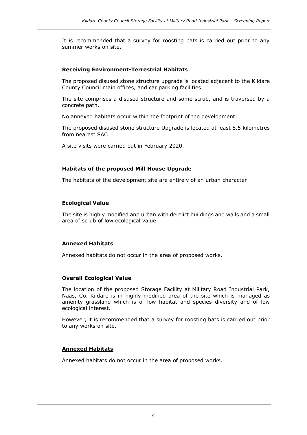It is recommended that a survey for roosting bats is carried out prior to any summer works on site.

### **Receiving Environment-Terrestrial Habitats**

The proposed disused stone structure upgrade is located adjacent to the Kildare County Council main offices, and car parking facilities.

The site comprises a disused structure and some scrub, and is traversed by a concrete path.

No annexed habitats occur within the footprint of the development.

The proposed disused stone structure Upgrade is located at least 8.5 kilometres from nearest SAC

A site visits were carried out in February 2020.

### **Habitats of the proposed Mill House Upgrade**

The habitats of the development site are entirely of an urban character

### **Ecological Value**

The site is highly modified and urban with derelict buildings and walls and a small area of scrub of low ecological value.

### **Annexed Habitats**

Annexed habitats do not occur in the area of proposed works.

### **Overall Ecological Value**

The location of the proposed Storage Facility at Military Road Industrial Park, Naas, Co. Kildare is in highly modified area of the site which is managed as amenity grassland which is of low habitat and species diversity and of low ecological interest.

However, it is recommended that a survey for roosting bats is carried out prior to any works on site.

### **Annexed Habitats**

Annexed habitats do not occur in the area of proposed works.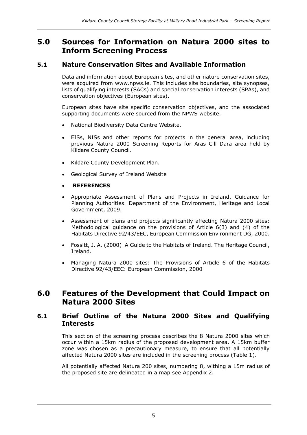# **5.0 Sources for Information on Natura 2000 sites to Inform Screening Process**

### **5.1 Nature Conservation Sites and Available Information**

Data and information about European sites, and other nature conservation sites, were acquired from www.npws.ie. This includes site boundaries, site synopses, lists of qualifying interests (SACs) and special conservation interests (SPAs), and conservation objectives (European sites).

European sites have site specific conservation objectives, and the associated supporting documents were sourced from the NPWS website.

- National Biodiversity Data Centre Website.
- EISs, NISs and other reports for projects in the general area, including previous Natura 2000 Screening Reports for Aras Cill Dara area held by Kildare County Council.
- Kildare County Development Plan.
- Geological Survey of Ireland Website
- **REFERENCES**
- Appropriate Assessment of Plans and Projects in Ireland. Guidance for Planning Authorities. Department of the Environment, Heritage and Local Government, 2009.
- Assessment of plans and projects significantly affecting Natura 2000 sites: Methodological guidance on the provisions of Article 6(3) and (4) of the Habitats Directive 92/43/EEC, European Commission Environment DG, 2000.
- Fossitt, J. A. (2000) A Guide to the Habitats of Ireland. The Heritage Council, Ireland.
- Managing Natura 2000 sites: The Provisions of Article 6 of the Habitats Directive 92/43/EEC: European Commission, 2000

# **6.0 Features of the Development that Could Impact on Natura 2000 Sites**

### **6.1 Brief Outline of the Natura 2000 Sites and Qualifying Interests**

This section of the screening process describes the 8 Natura 2000 sites which occur within a 15km radius of the proposed development area. A 15km buffer zone was chosen as a precautionary measure, to ensure that all potentially affected Natura 2000 sites are included in the screening process (Table 1).

All potentially affected Natura 200 sites, numbering 8, withing a 15m radius of the proposed site are delineated in a map see Appendix 2.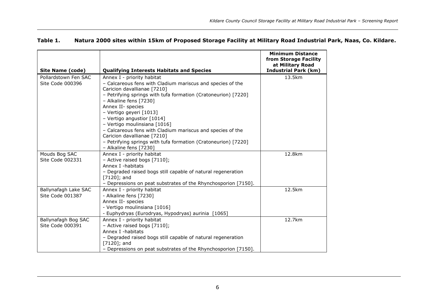| <b>Site Name (code)</b> | <b>Qualifying Interests Habitats and Species</b>                                         | <b>Minimum Distance</b><br>from Storage Facility<br>at Military Road<br><b>Industrial Park (km)</b> |
|-------------------------|------------------------------------------------------------------------------------------|-----------------------------------------------------------------------------------------------------|
| Pollardstown Fen SAC    | Annex I - priority habitat                                                               | 13.5km                                                                                              |
| Site Code 000396        | - Calcareous fens with Cladium mariscus and species of the                               |                                                                                                     |
|                         | Caricion davallianae [7210]                                                              |                                                                                                     |
|                         | - Petrifying springs with tufa formation (Cratoneurion) [7220]                           |                                                                                                     |
|                         | - Alkaline fens [7230]                                                                   |                                                                                                     |
|                         | Annex II- species                                                                        |                                                                                                     |
|                         | - Vertigo geyeri [1013]                                                                  |                                                                                                     |
|                         | - Vertigo angustior [1014]                                                               |                                                                                                     |
|                         | - Vertigo moulinsiana [1016]                                                             |                                                                                                     |
|                         | - Calcareous fens with Cladium mariscus and species of the                               |                                                                                                     |
|                         | Caricion davallianae [7210]                                                              |                                                                                                     |
|                         | - Petrifying springs with tufa formation (Cratoneurion) [7220]<br>- Alkaline fens [7230] |                                                                                                     |
| Mouds Bog SAC           | Annex I - priority habitat                                                               | 12.8km                                                                                              |
| Site Code 002331        | - Active raised bogs [7110];                                                             |                                                                                                     |
|                         | Annex I -habitats                                                                        |                                                                                                     |
|                         | - Degraded raised bogs still capable of natural regeneration<br>$[7120]$ ; and           |                                                                                                     |
|                         | - Depressions on peat substrates of the Rhynchosporion [7150].                           |                                                                                                     |
| Ballynafagh Lake SAC    | Annex I - priority habitat                                                               | 12.5km                                                                                              |
| Site Code 001387        | - Alkaline fens [7230]                                                                   |                                                                                                     |
|                         | Annex II- species                                                                        |                                                                                                     |
|                         | - Vertigo moulinsiana [1016]                                                             |                                                                                                     |
|                         | - Euphydryas (Eurodryas, Hypodryas) aurinia [1065]                                       |                                                                                                     |
| Ballynafagh Bog SAC     | Annex I - priority habitat                                                               | 12.7km                                                                                              |
| Site Code 000391        | - Active raised bogs [7110];                                                             |                                                                                                     |
|                         | Annex I -habitats                                                                        |                                                                                                     |
|                         | - Degraded raised bogs still capable of natural regeneration                             |                                                                                                     |
|                         | $[7120]$ ; and                                                                           |                                                                                                     |
|                         | - Depressions on peat substrates of the Rhynchosporion [7150].                           |                                                                                                     |

### **Table 1. Natura 2000 sites within 15km of Proposed Storage Facility at Military Road Industrial Park, Naas, Co. Kildare.**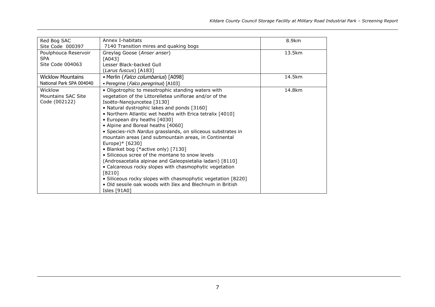| Red Bog SAC              | Annex I-habitats                                                                                                      | 8.9km  |
|--------------------------|-----------------------------------------------------------------------------------------------------------------------|--------|
| Site Code 000397         | 7140 Transition mires and quaking bogs                                                                                |        |
| Poulphouca Reservoir     | Greylag Goose (Anser anser)                                                                                           | 13.5km |
| <b>SPA</b>               | [A043]                                                                                                                |        |
| Site Code 004063         | Lesser Black-backed Gull                                                                                              |        |
|                          | ( <i>Larus fuscus</i> ) [A183]                                                                                        |        |
| <b>Wicklow Mountains</b> | • Merlin (Falco columbarius) [A098]                                                                                   | 14.5km |
| National Park SPA 004040 | • Peregrine (Falco peregrinus) [A103]                                                                                 |        |
| Wicklow                  | · Oligotrophic to mesotrophic standing waters with                                                                    | 14.8km |
| Mountains SAC Site       | vegetation of the Littorelletea uniflorae and/or of the                                                               |        |
| Code (002122)            | Isoëto-Nanojuncetea [3130]                                                                                            |        |
|                          | • Natural dystrophic lakes and ponds [3160]                                                                           |        |
|                          | • Northern Atlantic wet heaths with Erica tetralix [4010]                                                             |        |
|                          | • European dry heaths [4030]                                                                                          |        |
|                          | • Alpine and Boreal heaths [4060]                                                                                     |        |
|                          | • Species-rich Nardus grasslands, on siliceous substrates in<br>mountain areas (and submountain areas, in Continental |        |
|                          | Europe)* [6230]                                                                                                       |        |
|                          | • Blanket bog (*active only) [7130]                                                                                   |        |
|                          | • Siliceous scree of the montane to snow levels                                                                       |        |
|                          | (Androsacetalia alpinae and Galeopsietalia ladani) [8110]                                                             |        |
|                          | • Calcareous rocky slopes with chasmophytic vegetation                                                                |        |
|                          | [8210]                                                                                                                |        |
|                          | • Siliceous rocky slopes with chasmophytic vegetation [8220]                                                          |        |
|                          | . Old sessile oak woods with Ilex and Blechnum in British                                                             |        |
|                          | Isles [91A0]                                                                                                          |        |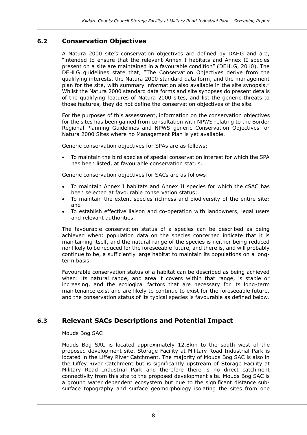### **6.2 Conservation Objectives**

A Natura 2000 site's conservation objectives are defined by DAHG and are, "intended to ensure that the relevant Annex I habitats and Annex II species present on a site are maintained in a favourable condition" (DEHLG, 2010). The DEHLG guidelines state that, "The Conservation Objectives derive from the qualifying interests, the Natura 2000 standard data form, and the management plan for the site, with summary information also available in the site synopsis." Whilst the Natura 2000 standard data forms and site synopses do present details of the qualifying features of Natura 2000 sites, and list the generic threats to those features, they do not define the conservation objectives of the site.

For the purposes of this assessment, information on the conservation objectives for the sites has been gained from consultation with NPWS relating to the Border Regional Planning Guidelines and NPWS generic Conservation Objectives for Natura 2000 Sites where no Management Plan is yet available.

Generic conservation objectives for SPAs are as follows:

• To maintain the bird species of special conservation interest for which the SPA has been listed, at favourable conservation status.

Generic conservation objectives for SACs are as follows:

- To maintain Annex I habitats and Annex II species for which the cSAC has been selected at favourable conservation status;
- To maintain the extent species richness and biodiversity of the entire site; and
- To establish effective liaison and co-operation with landowners, legal users and relevant authorities.

The favourable conservation status of a species can be described as being achieved when: population data on the species concerned indicate that it is maintaining itself, and the natural range of the species is neither being reduced nor likely to be reduced for the foreseeable future, and there is, and will probably continue to be, a sufficiently large habitat to maintain its populations on a longterm basis.

Favourable conservation status of a habitat can be described as being achieved when: its natural range, and area it covers within that range, is stable or increasing, and the ecological factors that are necessary for its long-term maintenance exist and are likely to continue to exist for the foreseeable future, and the conservation status of its typical species is favourable as defined below.

### **6.3 Relevant SACs Descriptions and Potential Impact**

#### Mouds Bog SAC

Mouds Bog SAC is located approximately 12.8km to the south west of the proposed development site. Storage Facility at Military Road Industrial Park is located in the Liffey River Catchment. The majority of Mouds Bog SAC is also in the Liffey River Catchment but is significantly upstream of Storage Facility at Military Road Industrial Park and therefore there is no direct catchment connectivity from this site to the proposed development site. Mouds Bog SAC is a ground water dependent ecosystem but due to the significant distance subsurface topography and surface geomorphology isolating the sites from one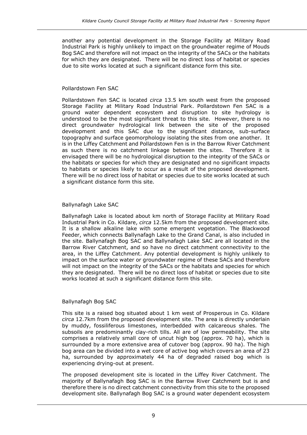another any potential development in the Storage Facility at Military Road Industrial Park is highly unlikely to impact on the groundwater regime of Mouds Bog SAC and therefore will not impact on the integrity of the SACs or the habitats for which they are designated. There will be no direct loss of habitat or species due to site works located at such a significant distance form this site.

#### Pollardstown Fen SAC

Pollardstown Fen SAC is located *circa* 13.5 km south west from the proposed Storage Facility at Military Road Industrial Park. Pollardstown Fen SAC is a ground water dependent ecosystem and disruption to site hydrology is understood to be the most significant threat to this site. However, there is no direct groundwater hydrological link between the site of the proposed development and this SAC due to the significant distance, sub-surface topography and surface geomorphology isolating the sites from one another. It is in the Liffey Catchment and Pollardstown Fen is in the Barrow River Catchment as such there is no catchment linkage between the sites. Therefore it is envisaged there will be no hydrological disruption to the integrity of the SACs or the habitats or species for which they are designated and no significant impacts to habitats or species likely to occur as a result of the proposed development. There will be no direct loss of habitat or species due to site works located at such a significant distance form this site.

### Ballynafagh Lake SAC

Ballynafagh Lake is located about km north of Storage Facility at Military Road Industrial Park in Co. Kildare, *circa* 12.5km from the proposed development site. It is a shallow alkaline lake with some emergent vegetation. The Blackwood Feeder, which connects Ballynafagh Lake to the Grand Canal, is also included in the site. Ballynafagh Bog SAC and Ballynafagh Lake SAC are all located in the Barrow River Catchment, and so have no direct catchment connectivity to the area, in the Liffey Catchment. Any potential development is highly unlikely to impact on the surface water or groundwater regime of these SACs and therefore will not impact on the integrity of the SACs or the habitats and species for which they are designated. There will be no direct loss of habitat or species due to site works located at such a significant distance form this site.

### Ballynafagh Bog SAC

This site is a raised bog situated about 1 km west of Prosperous in Co. Kildare *circa* 12.7km from the proposed development site. The area is directly underlain by muddy, fossiliferous limestones, interbedded with calcareous shales. The subsoils are predominantly clay-rich tills. All are of low permeability. The site comprises a relatively small core of uncut high bog (approx. 70 ha), which is surrounded by a more extensive area of cutover bog (approx. 90 ha). The high bog area can be divided into a wet core of active bog which covers an area of 23 ha, surrounded by approximately 44 ha of degraded raised bog which is experiencing drying-out at present.

The proposed development site is located in the Liffey River Catchment. The majority of Ballynafagh Bog SAC is in the Barrow River Catchment but is and therefore there is no direct catchment connectivity from this site to the proposed development site. Ballynafagh Bog SAC is a ground water dependent ecosystem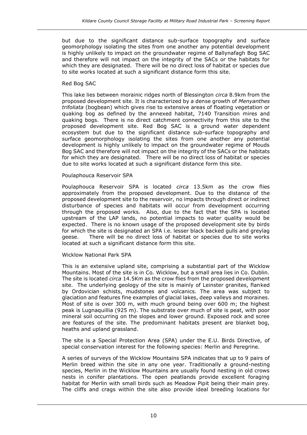but due to the significant distance sub-surface topography and surface geomorphology isolating the sites from one another any potential development is highly unlikely to impact on the groundwater regime of Ballynafagh Bog SAC and therefore will not impact on the integrity of the SACs or the habitats for which they are designated. There will be no direct loss of habitat or species due to site works located at such a significant distance form this site.

#### Red Bog SAC

This lake lies between morainic ridges north of Blessington *circa* 8.9km from the proposed development site. It is characterized by a dense growth of *Menyanthes trifoliata* (bogbean) which gives rise to extensive areas of floating vegetation or quaking bog as defined by the annexed habitat, 7140 Transition mires and quaking bogs. There is no direct catchment connectivity from this site to the proposed development site. Red Bog SAC is a ground water dependent ecosystem but due to the significant distance sub-surface topography and surface geomorphology isolating the sites from one another any potential development is highly unlikely to impact on the groundwater regime of Mouds Bog SAC and therefore will not impact on the integrity of the SACs or the habitats for which they are designated. There will be no direct loss of habitat or species due to site works located at such a significant distance form this site.

#### Poulaphouca Reservoir SPA

Poulaphouca Reservoir SPA is located *circa* 13.5km as the crow flies approximately from the proposed development. Due to the distance of the proposed development site to the reservoir, no impacts through direct or indirect disturbance of species and habitats will occur from development occurring through the proposed works. Also, due to the fact that the SPA is located upstream of the LAP lands, no potential impacts to water quality would be expected. There is no known usage of the proposed development site by birds for which the site is designated an SPA i.e. lesser black backed gulls and greylag geese. There will be no direct loss of habitat or species due to site works located at such a significant distance form this site.

#### Wicklow National Park SPA

This is an extensive upland site, comprising a substantial part of the Wicklow Mountains. Most of the site is in Co. Wicklow, but a small area lies in Co. Dublin. The site is located *circa* 14.5Km as the crow flies from the proposed development site. The underlying geology of the site is mainly of Leinster granites, flanked by Ordovician schists, mudstones and volcanics. The area was subject to glaciation and features fine examples of glacial lakes, deep valleys and moraines. Most of site is over 300 m, with much ground being over 600 m; the highest peak is Lugnaquillia (925 m). The substrate over much of site is peat, with poor mineral soil occurring on the slopes and lower ground. Exposed rock and scree are features of the site. The predominant habitats present are blanket bog, heaths and upland grassland.

The site is a Special Protection Area (SPA) under the E.U. Birds Directive, of special conservation interest for the following species: Merlin and Peregrine.

A series of surveys of the Wicklow Mountains SPA indicates that up to 9 pairs of Merlin breed within the site in any one year. Traditionally a ground-nesting species, Merlin in the Wicklow Mountains are usually found nesting in old crows nests in conifer plantations. The open peatlands provide excellent foraging habitat for Merlin with small birds such as Meadow Pipit being their main prey. The cliffs and crags within the site also provide ideal breeding locations for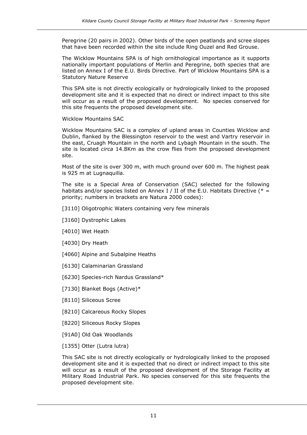Peregrine (20 pairs in 2002). Other birds of the open peatlands and scree slopes that have been recorded within the site include Ring Ouzel and Red Grouse.

The Wicklow Mountains SPA is of high ornithological importance as it supports nationally important populations of Merlin and Peregrine, both species that are listed on Annex I of the E.U. Birds Directive. Part of Wicklow Mountains SPA is a Statutory Nature Reserve

This SPA site is not directly ecologically or hydrologically linked to the proposed development site and it is expected that no direct or indirect impact to this site will occur as a result of the proposed development. No species conserved for this site frequents the proposed development site.

Wicklow Mountains SAC

Wicklow Mountains SAC is a complex of upland areas in Counties Wicklow and Dublin, flanked by the Blessington reservoir to the west and Vartry reservoir in the east, Cruagh Mountain in the north and Lybagh Mountain in the south. The site is located *circa* 14.8Km as the crow flies from the proposed development site.

Most of the site is over 300 m, with much ground over 600 m. The highest peak is 925 m at Lugnaquilla.

The site is a Special Area of Conservation (SAC) selected for the following habitats and/or species listed on Annex I / II of the E.U. Habitats Directive ( $* =$ priority; numbers in brackets are Natura 2000 codes):

- [3110] Oligotrophic Waters containing very few minerals
- [3160] Dystrophic Lakes
- [4010] Wet Heath
- [4030] Dry Heath
- [4060] Alpine and Subalpine Heaths
- [6130] Calaminarian Grassland
- [6230] Species-rich Nardus Grassland\*
- [7130] Blanket Bogs (Active)\*
- [8110] Siliceous Scree
- [8210] Calcareous Rocky Slopes
- [8220] Siliceous Rocky Slopes
- [91A0] Old Oak Woodlands
- [1355] Otter (Lutra lutra)

This SAC site is not directly ecologically or hydrologically linked to the proposed development site and it is expected that no direct or indirect impact to this site will occur as a result of the proposed development of the Storage Facility at Military Road Industrial Park. No species conserved for this site frequents the proposed development site.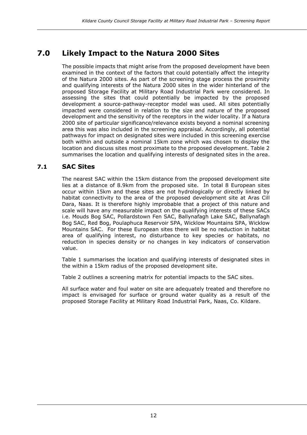# **7.0 Likely Impact to the Natura 2000 Sites**

The possible impacts that might arise from the proposed development have been examined in the context of the factors that could potentially affect the integrity of the Natura 2000 sites. As part of the screening stage process the proximity and qualifying interests of the Natura 2000 sites in the wider hinterland of the proposed Storage Facility at Military Road Industrial Park were considered. In assessing the sites that could potentially be impacted by the proposed development a source-pathway-receptor model was used. All sites potentially impacted were considered in relation to the size and nature of the proposed development and the sensitivity of the receptors in the wider locality. If a Natura 2000 site of particular significance/relevance exists beyond a nominal screening area this was also included in the screening appraisal. Accordingly, all potential pathways for impact on designated sites were included in this screening exercise both within and outside a nominal 15km zone which was chosen to display the location and discuss sites most proximate to the proposed development. Table 2 summarises the location and qualifying interests of designated sites in the area.

### **7.1 SAC Sites**

The nearest SAC within the 15km distance from the proposed development site lies at a distance of 8.9km from the proposed site. In total 8 European sites occur within 15km and these sites are not hydrologically or directly linked by habitat connectivity to the area of the proposed development site at Aras Cill Dara, Naas. It is therefore highly improbable that a project of this nature and scale will have any measurable impact on the qualifying interests of these SACs i.e. Mouds Bog SAC, Pollardstown Fen SAC, Ballynafagh Lake SAC, Ballynafagh Bog SAC, Red Bog, Poulaphuca Reservoir SPA, Wicklow Mountains SPA, Wicklow Mountains SAC. For these European sites there will be no reduction in habitat area of qualifying interest, no disturbance to key species or habitats, no reduction in species density or no changes in key indicators of conservation value.

Table 1 summarises the location and qualifying interests of designated sites in the within a 15km radius of the proposed development site.

Table 2 outlines a screening matrix for potential impacts to the SAC sites.

All surface water and foul water on site are adequately treated and therefore no impact is envisaged for surface or ground water quality as a result of the proposed Storage Facility at Military Road Industrial Park, Naas, Co. Kildare.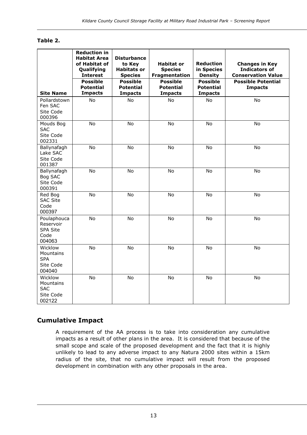### **Table 2.**

|                                                           | <b>Reduction in</b><br><b>Habitat Area</b><br>of Habitat of<br>Qualifying<br><b>Interest</b><br><b>Possible</b> | <b>Disturbance</b><br>to Key<br><b>Habitats or</b><br><b>Species</b><br><b>Possible</b> | <b>Habitat or</b><br><b>Species</b><br>Fragmentation<br><b>Possible</b> | <b>Reduction</b><br>in Species<br><b>Density</b><br><b>Possible</b> | <b>Changes in Key</b><br><b>Indicators of</b><br><b>Conservation Value</b><br><b>Possible Potential</b> |
|-----------------------------------------------------------|-----------------------------------------------------------------------------------------------------------------|-----------------------------------------------------------------------------------------|-------------------------------------------------------------------------|---------------------------------------------------------------------|---------------------------------------------------------------------------------------------------------|
| <b>Site Name</b>                                          | <b>Potential</b><br><b>Impacts</b>                                                                              | <b>Potential</b><br><b>Impacts</b>                                                      | <b>Potential</b><br><b>Impacts</b>                                      | <b>Potential</b><br><b>Impacts</b>                                  | <b>Impacts</b>                                                                                          |
| Pollardstown<br>Fen SAC<br>Site Code<br>000396            | No                                                                                                              | <b>No</b>                                                                               | <b>No</b>                                                               | <b>No</b>                                                           | <b>No</b>                                                                                               |
| Mouds Bog<br><b>SAC</b><br>Site Code<br>002331            | No                                                                                                              | No                                                                                      | No                                                                      | No                                                                  | No                                                                                                      |
| Ballynafagh<br>Lake SAC<br>Site Code<br>001387            | No                                                                                                              | No                                                                                      | No                                                                      | No                                                                  | No                                                                                                      |
| Ballynafagh<br>Bog SAC<br>Site Code<br>000391             | No                                                                                                              | No                                                                                      | No                                                                      | No                                                                  | No                                                                                                      |
| Red Bog<br><b>SAC Site</b><br>Code<br>000397              | No                                                                                                              | <b>No</b>                                                                               | <b>No</b>                                                               | <b>No</b>                                                           | No                                                                                                      |
| Poulaphouca<br>Reservoir<br>SPA Site<br>Code<br>004063    | <b>No</b>                                                                                                       | <b>No</b>                                                                               | <b>No</b>                                                               | No                                                                  | No                                                                                                      |
| Wicklow<br>Mountains<br><b>SPA</b><br>Site Code<br>004040 | No                                                                                                              | No                                                                                      | No                                                                      | No                                                                  | No                                                                                                      |
| Wicklow<br>Mountains<br><b>SAC</b><br>Site Code<br>002122 | No                                                                                                              | No                                                                                      | No                                                                      | No                                                                  | No                                                                                                      |

### **Cumulative Impact**

A requirement of the AA process is to take into consideration any cumulative impacts as a result of other plans in the area. It is considered that because of the small scope and scale of the proposed development and the fact that it is highly unlikely to lead to any adverse impact to any Natura 2000 sites within a 15km radius of the site, that no cumulative impact will result from the proposed development in combination with any other proposals in the area.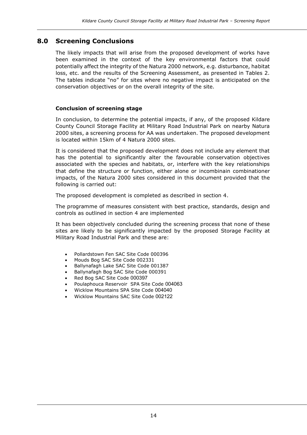### **8.0 Screening Conclusions**

The likely impacts that will arise from the proposed development of works have been examined in the context of the key environmental factors that could potentially affect the integrity of the Natura 2000 network, e.g. disturbance, habitat loss, etc. and the results of the Screening Assessment, as presented in Tables 2. The tables indicate "no" for sites where no negative impact is anticipated on the conservation objectives or on the overall integrity of the site.

#### **Conclusion of screening stage**

In conclusion, to determine the potential impacts, if any, of the proposed Kildare County Council Storage Facility at Military Road Industrial Park on nearby Natura 2000 sites, a screening process for AA was undertaken. The proposed development is located within 15km of 4 Natura 2000 sites.

It is considered that the proposed development does not include any element that has the potential to significantly alter the favourable conservation objectives associated with the species and habitats, or, interfere with the key relationships that define the structure or function, either alone or incombinain combinationer impacts, of the Natura 2000 sites considered in this document provided that the following is carried out:

The proposed development is completed as described in section 4.

The programme of measures consistent with best practice, standards, design and controls as outlined in section 4 are implemented

It has been objectively concluded during the screening process that none of these sites are likely to be significantly impacted by the proposed Storage Facility at Military Road Industrial Park and these are:

- Pollardstown Fen SAC Site Code 000396
- Mouds Bog SAC Site Code 002331
- Ballynafagh Lake SAC Site Code 001387
- Ballynafagh Bog SAC Site Code 000391
- Red Bog SAC Site Code 000397
- Poulaphouca Reservoir SPA Site Code 004063
- Wicklow Mountains SPA Site Code 004040
- Wicklow Mountains SAC Site Code 002122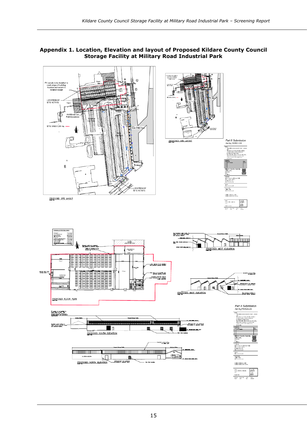

**Appendix 1. Location, Elevation and layout of Proposed Kildare County Council Storage Facility at Military Road Industrial Park**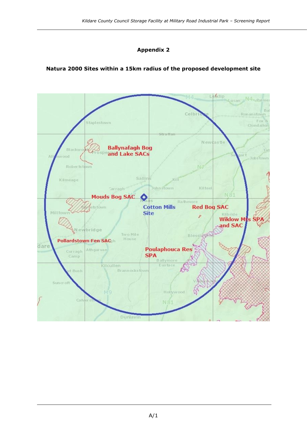### **Appendix 2**

### **Natura 2000 Sites within a 15km radius of the proposed development site**